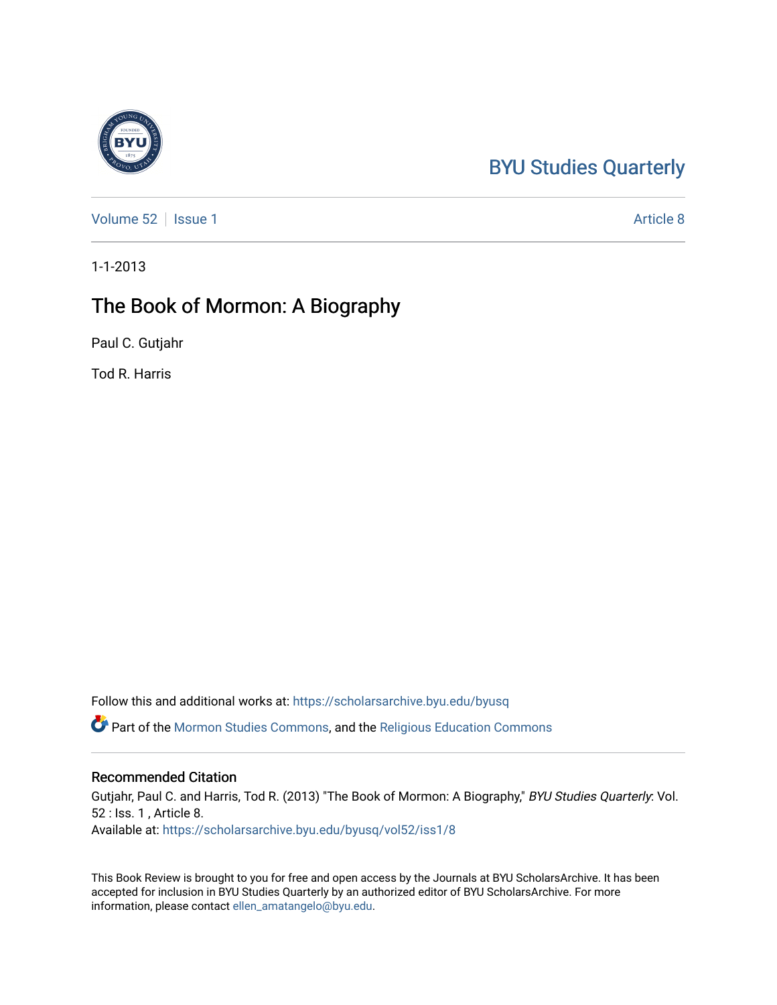## [BYU Studies Quarterly](https://scholarsarchive.byu.edu/byusq)

[Volume 52](https://scholarsarchive.byu.edu/byusq/vol52) | [Issue 1](https://scholarsarchive.byu.edu/byusq/vol52/iss1) Article 8

1-1-2013

## The Book of Mormon: A Biography

Paul C. Gutjahr

Tod R. Harris

Follow this and additional works at: [https://scholarsarchive.byu.edu/byusq](https://scholarsarchive.byu.edu/byusq?utm_source=scholarsarchive.byu.edu%2Fbyusq%2Fvol52%2Fiss1%2F8&utm_medium=PDF&utm_campaign=PDFCoverPages) 

Part of the [Mormon Studies Commons](http://network.bepress.com/hgg/discipline/1360?utm_source=scholarsarchive.byu.edu%2Fbyusq%2Fvol52%2Fiss1%2F8&utm_medium=PDF&utm_campaign=PDFCoverPages), and the [Religious Education Commons](http://network.bepress.com/hgg/discipline/1414?utm_source=scholarsarchive.byu.edu%2Fbyusq%2Fvol52%2Fiss1%2F8&utm_medium=PDF&utm_campaign=PDFCoverPages) 

## Recommended Citation

Gutjahr, Paul C. and Harris, Tod R. (2013) "The Book of Mormon: A Biography," BYU Studies Quarterly: Vol. 52 : Iss. 1 , Article 8. Available at: [https://scholarsarchive.byu.edu/byusq/vol52/iss1/8](https://scholarsarchive.byu.edu/byusq/vol52/iss1/8?utm_source=scholarsarchive.byu.edu%2Fbyusq%2Fvol52%2Fiss1%2F8&utm_medium=PDF&utm_campaign=PDFCoverPages)

This Book Review is brought to you for free and open access by the Journals at BYU ScholarsArchive. It has been accepted for inclusion in BYU Studies Quarterly by an authorized editor of BYU ScholarsArchive. For more information, please contact [ellen\\_amatangelo@byu.edu.](mailto:ellen_amatangelo@byu.edu)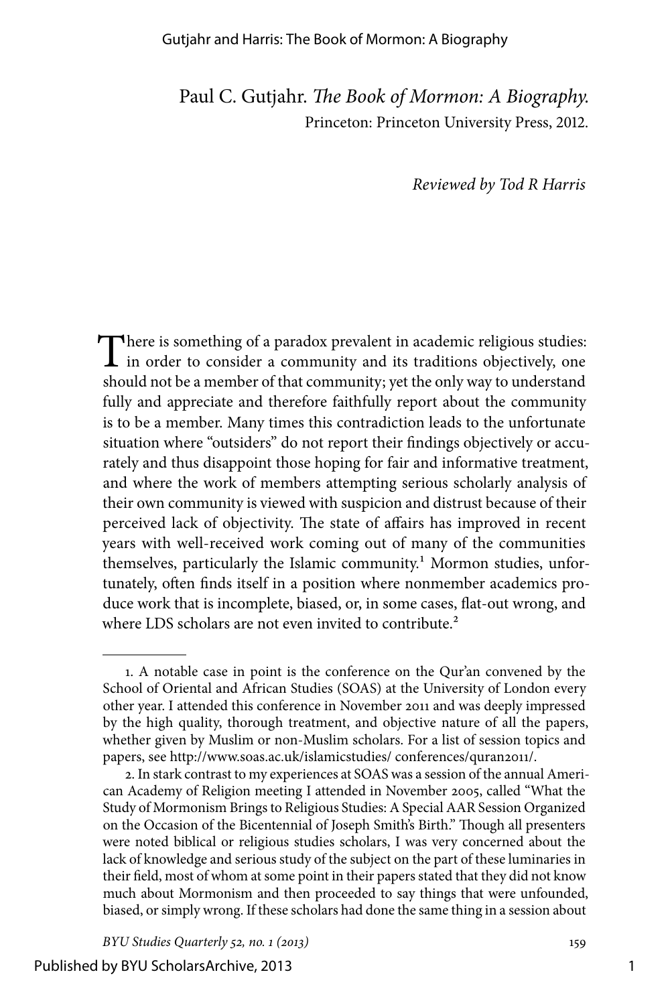## Gutjahr and Harris: The Book of Mormon: A Biography

Paul C. Gutjahr. *The Book of Mormon: A Biography.* Princeton: Princeton University Press, 2012.

*Reviewed by Tod R Harris*

There is something of a paradox prevalent in academic religious studies:  $\perp$  in order to consider a community and its traditions objectively, one should not be a member of that community; yet the only way to understand fully and appreciate and therefore faithfully report about the community is to be a member. Many times this contradiction leads to the unfortunate situation where "outsiders" do not report their findings objectively or accurately and thus disappoint those hoping for fair and informative treatment, and where the work of members attempting serious scholarly analysis of their own community is viewed with suspicion and distrust because of their perceived lack of objectivity. The state of affairs has improved in recent years with well-received work coming out of many of the communities themselves, particularly the Islamic community.<sup>1</sup> Mormon studies, unfortunately, often finds itself in a position where nonmember academics produce work that is incomplete, biased, or, in some cases, flat-out wrong, and where LDS scholars are not even invited to contribute.<sup>2</sup>

<sup>1.</sup> A notable case in point is the conference on the Qur'an convened by the School of Oriental and African Studies (SOAS) at the University of London every other year. I attended this conference in November 2011 and was deeply impressed by the high quality, thorough treatment, and objective nature of all the papers, whether given by Muslim or non-Muslim scholars. For a list of session topics and papers, see http://www.soas.ac.uk/islamicstudies/ conferences/quran2011/.

<sup>2.</sup> In stark contrast to my experiences at SOAS was a session of the annual American Academy of Religion meeting I attended in November 2005, called "What the Study of Mormonism Brings to Religious Studies: A Special AAR Session Organized on the Occasion of the Bicentennial of Joseph Smith's Birth." Though all presenters were noted biblical or religious studies scholars, I was very concerned about the lack of knowledge and serious study of the subject on the part of these luminaries in their field, most of whom at some point in their papers stated that they did not know much about Mormonism and then proceeded to say things that were unfounded, biased, or simply wrong. If these scholars had done the same thing in a session about

*BYU Studies Quarterly 52, no. 1 (2013)* 159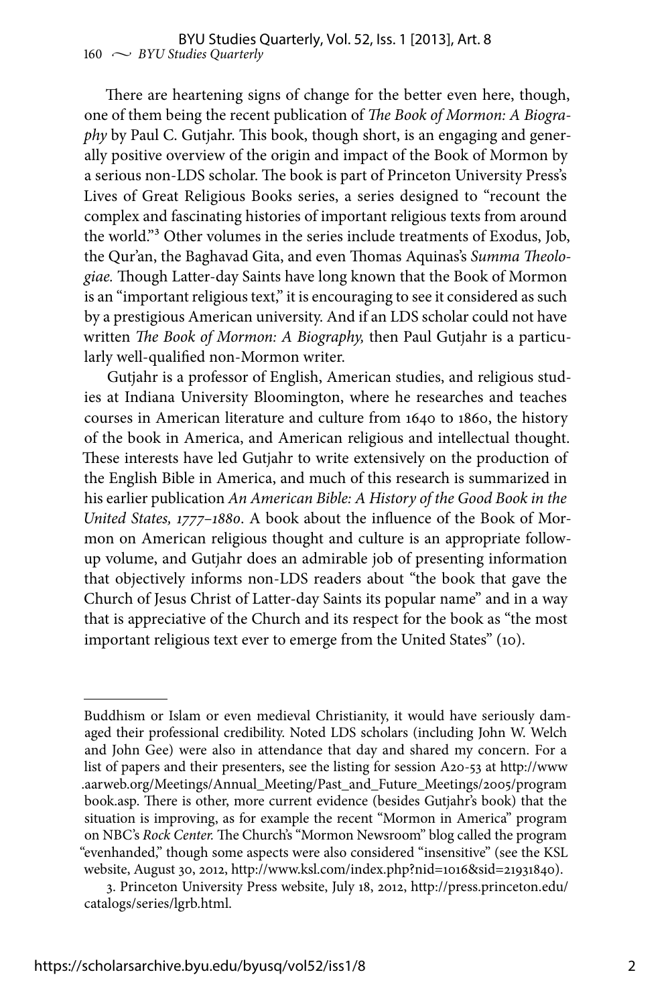There are heartening signs of change for the better even here, though, one of them being the recent publication of *The Book of Mormon: A Biography* by Paul C. Gutjahr. This book, though short, is an engaging and generally positive overview of the origin and impact of the Book of Mormon by a serious non-LDS scholar. The book is part of Princeton University Press's Lives of Great Religious Books series, a series designed to "recount the complex and fascinating histories of important religious texts from around the world."3 Other volumes in the series include treatments of Exodus, Job, the Qur'an, the Baghavad Gita, and even Thomas Aquinas's *Summa Theologiae.* Though Latter-day Saints have long known that the Book of Mormon is an "important religious text," it is encouraging to see it considered as such by a prestigious American university. And if an LDS scholar could not have written *The Book of Mormon: A Biography,* then Paul Gutjahr is a particularly well-qualified non-Mormon writer.

Gutjahr is a professor of English, American studies, and religious studies at Indiana University Bloomington, where he researches and teaches courses in American literature and culture from 1640 to 1860, the history of the book in America, and American religious and intellectual thought. These interests have led Gutjahr to write extensively on the production of the English Bible in America, and much of this research is summarized in his earlier publication *An American Bible: A History of the Good Book in the United States, 1777–1880*. A book about the influence of the Book of Mormon on American religious thought and culture is an appropriate followup volume, and Gutjahr does an admirable job of presenting information that objectively informs non-LDS readers about "the book that gave the Church of Jesus Christ of Latter-day Saints its popular name" and in a way that is appreciative of the Church and its respect for the book as "the most important religious text ever to emerge from the United States" (10).

Buddhism or Islam or even medieval Christianity, it would have seriously damaged their professional credibility. Noted LDS scholars (including John W. Welch and John Gee) were also in attendance that day and shared my concern. For a list of papers and their presenters, see the listing for session A20-53 at http://www .aarweb.org/Meetings/Annual\_Meeting/Past\_and\_Future\_Meetings/2005/program book.asp. There is other, more current evidence (besides Gutjahr's book) that the situation is improving, as for example the recent "Mormon in America" program on NBC's *Rock Center.* The Church's "Mormon Newsroom" blog called the program "evenhanded," though some aspects were also considered "insensitive" (see the KSL website, August 30, 2012, http://www.ksl.com/index.php?nid=1016&sid=21931840).

<sup>3.</sup> Princeton University Press website, July 18, 2012, http://press.princeton.edu/ catalogs/series/lgrb.html.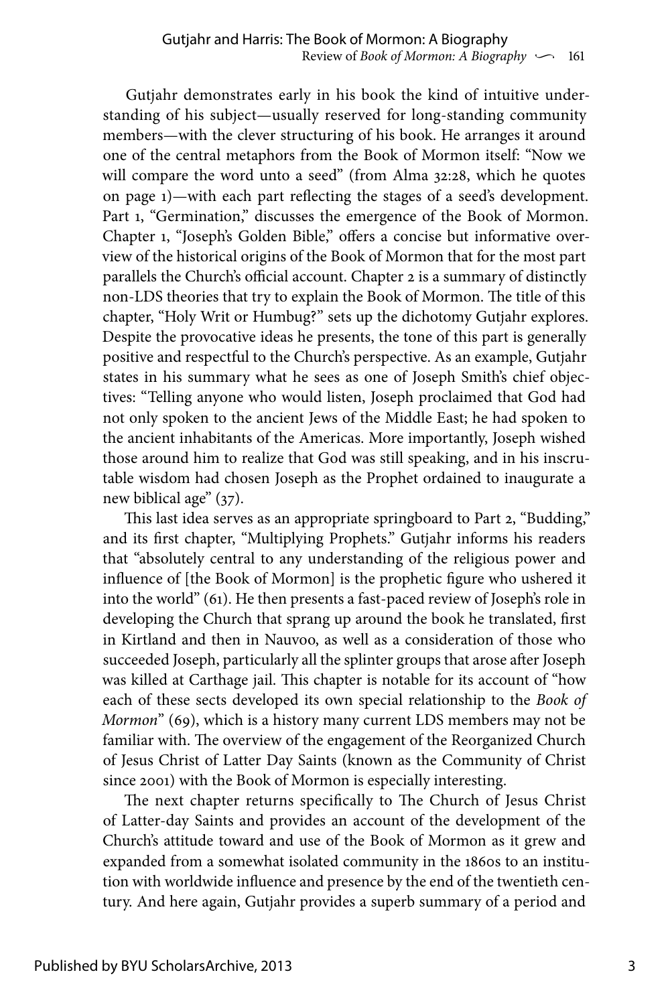Gutjahr demonstrates early in his book the kind of intuitive understanding of his subject—usually reserved for long-standing community members—with the clever structuring of his book. He arranges it around one of the central metaphors from the Book of Mormon itself: "Now we will compare the word unto a seed" (from Alma 32:28, which he quotes on page 1)—with each part reflecting the stages of a seed's development. Part 1, "Germination," discusses the emergence of the Book of Mormon. Chapter 1, "Joseph's Golden Bible," offers a concise but informative overview of the historical origins of the Book of Mormon that for the most part parallels the Church's official account. Chapter 2 is a summary of distinctly non-LDS theories that try to explain the Book of Mormon. The title of this chapter, "Holy Writ or Humbug?" sets up the dichotomy Gutjahr explores. Despite the provocative ideas he presents, the tone of this part is generally positive and respectful to the Church's perspective. As an example, Gutjahr states in his summary what he sees as one of Joseph Smith's chief objectives: "Telling anyone who would listen, Joseph proclaimed that God had not only spoken to the ancient Jews of the Middle East; he had spoken to the ancient inhabitants of the Americas. More importantly, Joseph wished those around him to realize that God was still speaking, and in his inscrutable wisdom had chosen Joseph as the Prophet ordained to inaugurate a new biblical age" (37).

This last idea serves as an appropriate springboard to Part 2, "Budding," and its first chapter, "Multiplying Prophets." Gutjahr informs his readers that "absolutely central to any understanding of the religious power and influence of [the Book of Mormon] is the prophetic figure who ushered it into the world" (61). He then presents a fast-paced review of Joseph's role in developing the Church that sprang up around the book he translated, first in Kirtland and then in Nauvoo, as well as a consideration of those who succeeded Joseph, particularly all the splinter groups that arose after Joseph was killed at Carthage jail. This chapter is notable for its account of "how each of these sects developed its own special relationship to the *Book of Mormon*" (69), which is a history many current LDS members may not be familiar with. The overview of the engagement of the Reorganized Church of Jesus Christ of Latter Day Saints (known as the Community of Christ since 2001) with the Book of Mormon is especially interesting.

The next chapter returns specifically to The Church of Jesus Christ of Latter-day Saints and provides an account of the development of the Church's attitude toward and use of the Book of Mormon as it grew and expanded from a somewhat isolated community in the 1860s to an institution with worldwide influence and presence by the end of the twentieth century. And here again, Gutjahr provides a superb summary of a period and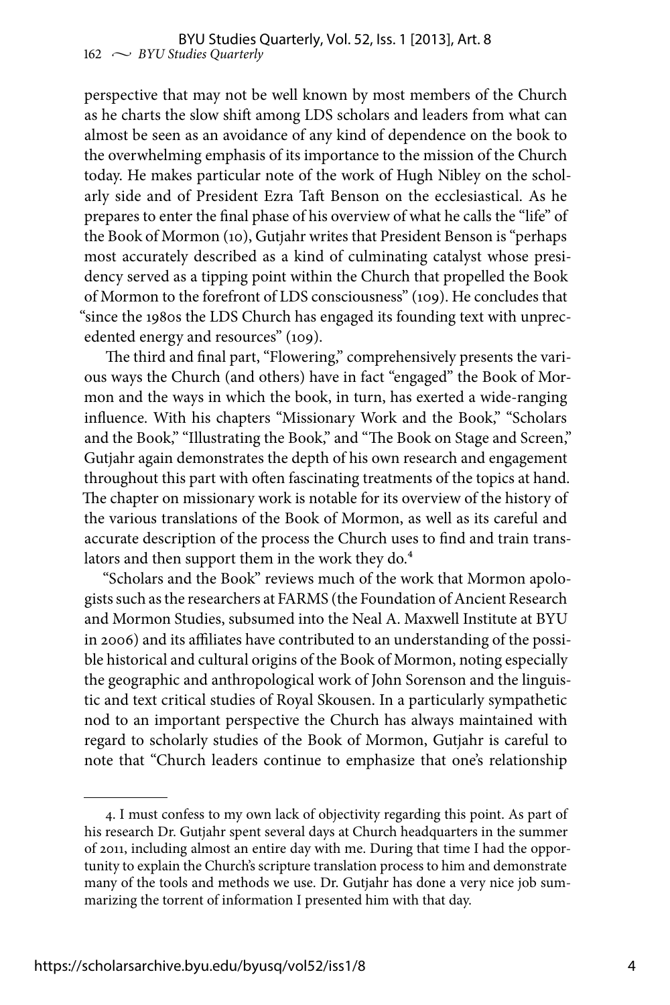perspective that may not be well known by most members of the Church as he charts the slow shift among LDS scholars and leaders from what can almost be seen as an avoidance of any kind of dependence on the book to the overwhelming emphasis of its importance to the mission of the Church today. He makes particular note of the work of Hugh Nibley on the scholarly side and of President Ezra Taft Benson on the ecclesiastical. As he prepares to enter the final phase of his overview of what he calls the "life" of the Book of Mormon (10), Gutjahr writes that President Benson is "perhaps most accurately described as a kind of culminating catalyst whose presidency served as a tipping point within the Church that propelled the Book of Mormon to the forefront of LDS consciousness" (109). He concludes that "since the 1980s the LDS Church has engaged its founding text with unprecedented energy and resources" (109).

The third and final part, "Flowering," comprehensively presents the various ways the Church (and others) have in fact "engaged" the Book of Mormon and the ways in which the book, in turn, has exerted a wide-ranging influence. With his chapters "Missionary Work and the Book," "Scholars and the Book," "Illustrating the Book," and "The Book on Stage and Screen," Gutjahr again demonstrates the depth of his own research and engagement throughout this part with often fascinating treatments of the topics at hand. The chapter on missionary work is notable for its overview of the history of the various translations of the Book of Mormon, as well as its careful and accurate description of the process the Church uses to find and train translators and then support them in the work they do.<sup>4</sup>

"Scholars and the Book" reviews much of the work that Mormon apologists such as the researchers at FARMS (the Foundation of Ancient Research and Mormon Studies, subsumed into the Neal A. Maxwell Institute at BYU in 2006) and its affiliates have contributed to an understanding of the possible historical and cultural origins of the Book of Mormon, noting especially the geographic and anthropological work of John Sorenson and the linguistic and text critical studies of Royal Skousen. In a particularly sympathetic nod to an important perspective the Church has always maintained with regard to scholarly studies of the Book of Mormon, Gutjahr is careful to note that "Church leaders continue to emphasize that one's relationship

<sup>4.</sup> I must confess to my own lack of objectivity regarding this point. As part of his research Dr. Gutjahr spent several days at Church headquarters in the summer of 2011, including almost an entire day with me. During that time I had the opportunity to explain the Church's scripture translation process to him and demonstrate many of the tools and methods we use. Dr. Gutjahr has done a very nice job summarizing the torrent of information I presented him with that day.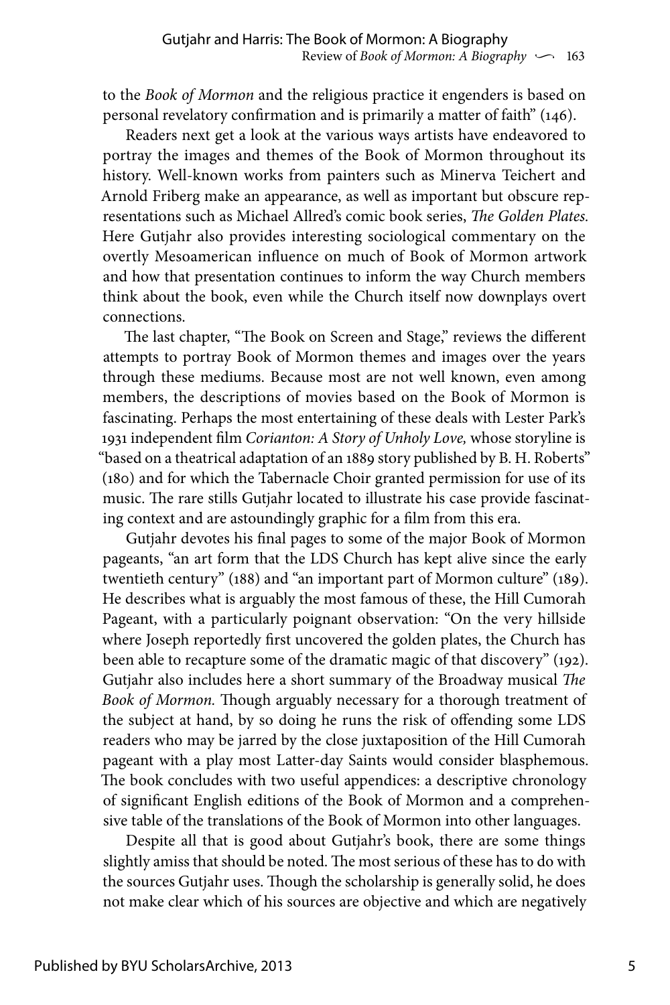to the *Book of Mormon* and the religious practice it engenders is based on personal revelatory confirmation and is primarily a matter of faith" (146).

Readers next get a look at the various ways artists have endeavored to portray the images and themes of the Book of Mormon throughout its history. Well-known works from painters such as Minerva Teichert and Arnold Friberg make an appearance, as well as important but obscure representations such as Michael Allred's comic book series, *The Golden Plates.* Here Gutjahr also provides interesting sociological commentary on the overtly Mesoamerican influence on much of Book of Mormon artwork and how that presentation continues to inform the way Church members think about the book, even while the Church itself now downplays overt connections.

The last chapter, "The Book on Screen and Stage," reviews the different attempts to portray Book of Mormon themes and images over the years through these mediums. Because most are not well known, even among members, the descriptions of movies based on the Book of Mormon is fascinating. Perhaps the most entertaining of these deals with Lester Park's 1931 independent film *Corianton: A Story of Unholy Love,* whose storyline is "based on a theatrical adaptation of an 1889 story published by B. H. Roberts" (180) and for which the Tabernacle Choir granted permission for use of its music. The rare stills Gutjahr located to illustrate his case provide fascinating context and are astoundingly graphic for a film from this era.

Gutjahr devotes his final pages to some of the major Book of Mormon pageants, "an art form that the LDS Church has kept alive since the early twentieth century" (188) and "an important part of Mormon culture" (189). He describes what is arguably the most famous of these, the Hill Cumorah Pageant, with a particularly poignant observation: "On the very hillside where Joseph reportedly first uncovered the golden plates, the Church has been able to recapture some of the dramatic magic of that discovery" (192). Gutjahr also includes here a short summary of the Broadway musical *The Book of Mormon.* Though arguably necessary for a thorough treatment of the subject at hand, by so doing he runs the risk of offending some LDS readers who may be jarred by the close juxtaposition of the Hill Cumorah pageant with a play most Latter-day Saints would consider blasphemous. The book concludes with two useful appendices: a descriptive chronology of significant English editions of the Book of Mormon and a comprehensive table of the translations of the Book of Mormon into other languages.

Despite all that is good about Gutjahr's book, there are some things slightly amiss that should be noted. The most serious of these has to do with the sources Gutjahr uses. Though the scholarship is generally solid, he does not make clear which of his sources are objective and which are negatively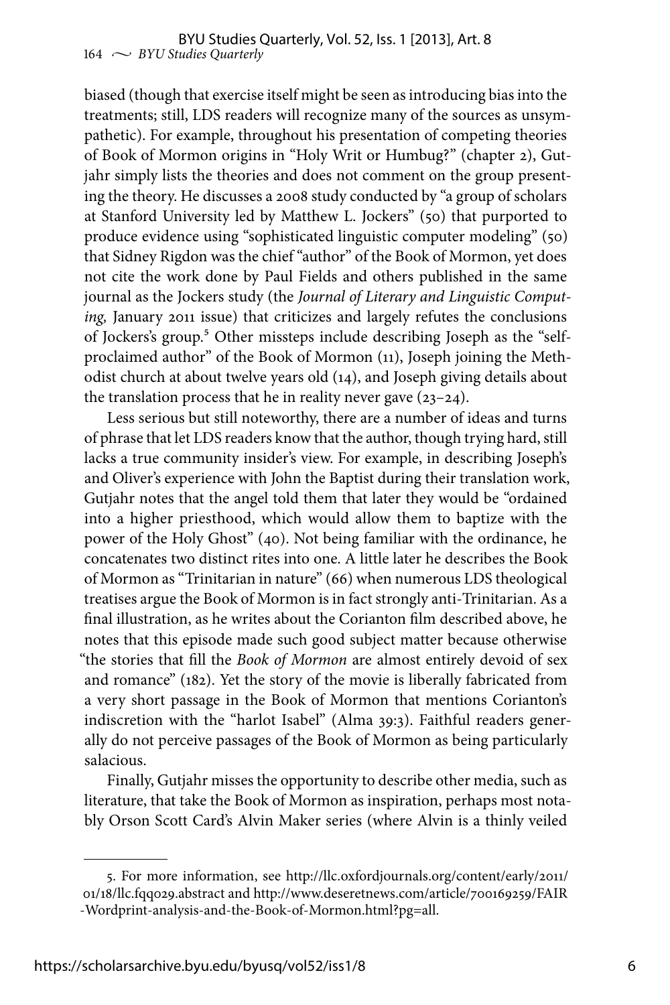biased (though that exercise itself might be seen as introducing bias into the treatments; still, LDS readers will recognize many of the sources as unsympathetic). For example, throughout his presentation of competing theories of Book of Mormon origins in "Holy Writ or Humbug?" (chapter 2), Gutjahr simply lists the theories and does not comment on the group presenting the theory. He discusses a 2008 study conducted by "a group of scholars at Stanford University led by Matthew L. Jockers" (50) that purported to produce evidence using "sophisticated linguistic computer modeling" (50) that Sidney Rigdon was the chief "author" of the Book of Mormon, yet does not cite the work done by Paul Fields and others published in the same journal as the Jockers study (the *Journal of Literary and Linguistic Computing,* January 2011 issue) that criticizes and largely refutes the conclusions of Jockers's group.<sup>5</sup> Other missteps include describing Joseph as the "selfproclaimed author" of the Book of Mormon (11), Joseph joining the Methodist church at about twelve years old (14), and Joseph giving details about the translation process that he in reality never gave  $(23-24)$ .

Less serious but still noteworthy, there are a number of ideas and turns of phrase that let LDS readers know that the author, though trying hard, still lacks a true community insider's view. For example, in describing Joseph's and Oliver's experience with John the Baptist during their translation work, Gutjahr notes that the angel told them that later they would be "ordained into a higher priesthood, which would allow them to baptize with the power of the Holy Ghost" (40). Not being familiar with the ordinance, he concatenates two distinct rites into one. A little later he describes the Book of Mormon as "Trinitarian in nature" (66) when numerous LDS theological treatises argue the Book of Mormon is in fact strongly anti-Trinitarian. As a final illustration, as he writes about the Corianton film described above, he notes that this episode made such good subject matter because otherwise "the stories that fill the *Book of Mormon* are almost entirely devoid of sex and romance" (182). Yet the story of the movie is liberally fabricated from a very short passage in the Book of Mormon that mentions Corianton's indiscretion with the "harlot Isabel" (Alma 39:3). Faithful readers generally do not perceive passages of the Book of Mormon as being particularly salacious.

Finally, Gutjahr misses the opportunity to describe other media, such as literature, that take the Book of Mormon as inspiration, perhaps most notably Orson Scott Card's Alvin Maker series (where Alvin is a thinly veiled

<sup>5.</sup> For more information, see http://llc.oxfordjournals.org/content/early/2011/ 01/18/llc.fqq029.abstract and http://www.deseretnews.com/article/700169259/FAIR -Wordprint-analysis-and-the-Book-of-Mormon.html?pg=all.